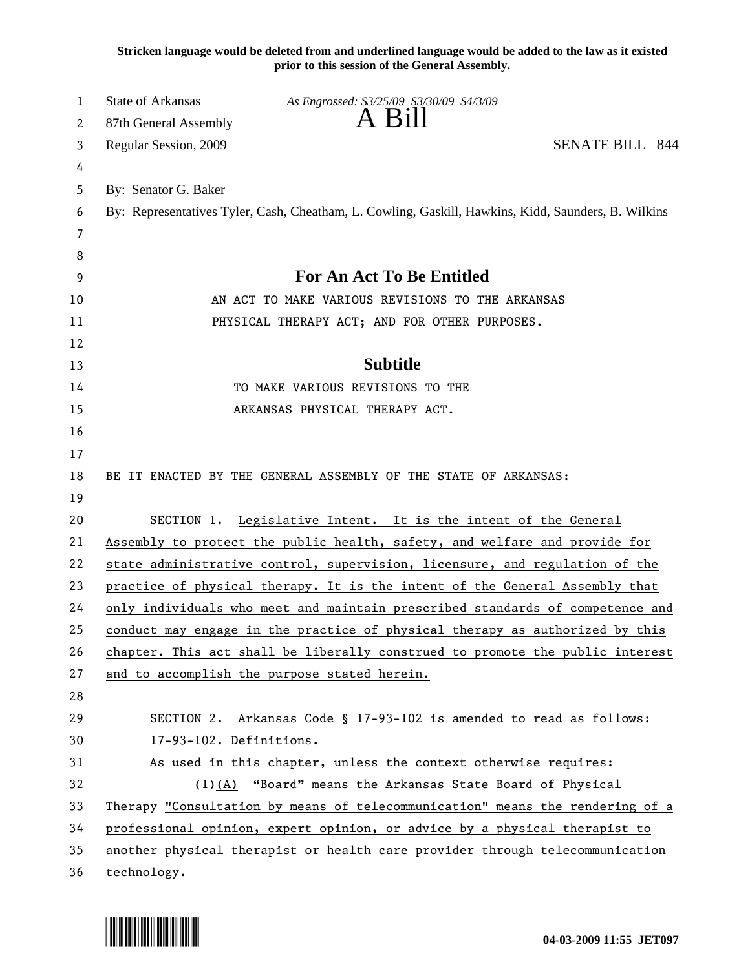**Stricken language would be deleted from and underlined language would be added to the law as it existed prior to this session of the General Assembly.**

| 1  | <b>State of Arkansas</b> | As Engrossed: S3/25/09 S3/30/09 S4/3/09                                                             |  |
|----|--------------------------|-----------------------------------------------------------------------------------------------------|--|
| 2  | 87th General Assembly    | A B1ll                                                                                              |  |
| 3  | Regular Session, 2009    | <b>SENATE BILL 844</b>                                                                              |  |
| 4  |                          |                                                                                                     |  |
| 5  | By: Senator G. Baker     |                                                                                                     |  |
| 6  |                          | By: Representatives Tyler, Cash, Cheatham, L. Cowling, Gaskill, Hawkins, Kidd, Saunders, B. Wilkins |  |
| 7  |                          |                                                                                                     |  |
| 8  |                          |                                                                                                     |  |
| 9  |                          | For An Act To Be Entitled                                                                           |  |
| 10 |                          | AN ACT TO MAKE VARIOUS REVISIONS TO THE ARKANSAS                                                    |  |
| 11 |                          | PHYSICAL THERAPY ACT; AND FOR OTHER PURPOSES.                                                       |  |
| 12 |                          |                                                                                                     |  |
| 13 |                          | <b>Subtitle</b>                                                                                     |  |
| 14 |                          | TO MAKE VARIOUS REVISIONS TO THE                                                                    |  |
| 15 |                          | ARKANSAS PHYSICAL THERAPY ACT.                                                                      |  |
| 16 |                          |                                                                                                     |  |
| 17 |                          |                                                                                                     |  |
| 18 |                          | BE IT ENACTED BY THE GENERAL ASSEMBLY OF THE STATE OF ARKANSAS:                                     |  |
| 19 |                          |                                                                                                     |  |
| 20 |                          | SECTION 1. Legislative Intent. It is the intent of the General                                      |  |
| 21 |                          | Assembly to protect the public health, safety, and welfare and provide for                          |  |
| 22 |                          | state administrative control, supervision, licensure, and regulation of the                         |  |
| 23 |                          | practice of physical therapy. It is the intent of the General Assembly that                         |  |
| 24 |                          | only individuals who meet and maintain prescribed standards of competence and                       |  |
| 25 |                          | conduct may engage in the practice of physical therapy as authorized by this                        |  |
| 26 |                          | chapter. This act shall be liberally construed to promote the public interest                       |  |
| 27 |                          | and to accomplish the purpose stated herein.                                                        |  |
| 28 |                          |                                                                                                     |  |
| 29 |                          | SECTION 2. Arkansas Code § 17-93-102 is amended to read as follows:                                 |  |
| 30 | 17-93-102. Definitions.  |                                                                                                     |  |
| 31 |                          | As used in this chapter, unless the context otherwise requires:                                     |  |
| 32 |                          | (1)(A) "Board" means the Arkansas State Board of Physical                                           |  |
| 33 |                          | Therapy "Consultation by means of telecommunication" means the rendering of a                       |  |
| 34 |                          | professional opinion, expert opinion, or advice by a physical therapist to                          |  |
| 35 |                          | another physical therapist or health care provider through telecommunication                        |  |
| 36 | technology.              |                                                                                                     |  |

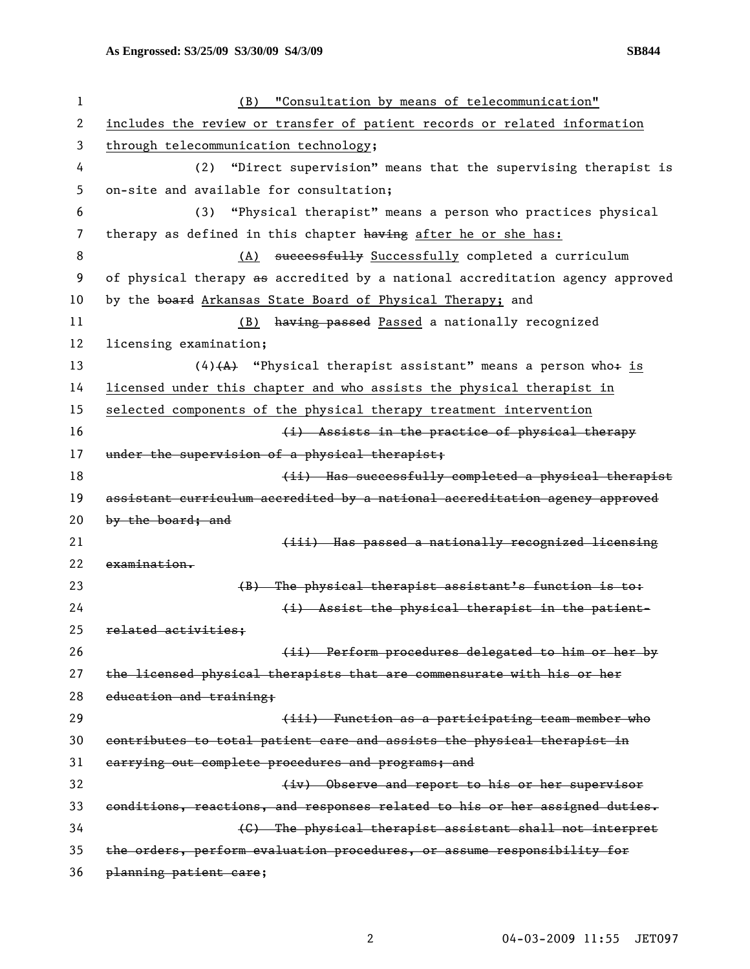| 1  | "Consultation by means of telecommunication"<br>(B)                           |
|----|-------------------------------------------------------------------------------|
| 2  | includes the review or transfer of patient records or related information     |
| 3  | through telecommunication technology;                                         |
| 4  | "Direct supervision" means that the supervising therapist is<br>(2)           |
| 5  | on-site and available for consultation;                                       |
| 6  | "Physical therapist" means a person who practices physical<br>(3)             |
| 7  | therapy as defined in this chapter having after he or she has:                |
| 8  | (A) successfully Successfully completed a curriculum                          |
| 9  | of physical therapy as accredited by a national accreditation agency approved |
| 10 | by the board Arkansas State Board of Physical Therapy; and                    |
| 11 | having passed Passed a nationally recognized<br>(B)                           |
| 12 | licensing examination;                                                        |
| 13 | $(4)$ (A) "Physical therapist assistant" means a person who+ is               |
| 14 | licensed under this chapter and who assists the physical therapist in         |
| 15 | selected components of the physical therapy treatment intervention            |
| 16 | (i) Assists in the practice of physical therapy                               |
| 17 | under the supervision of a physical therapist;                                |
| 18 | (ii) Has successfully completed a physical therapist                          |
| 19 | assistant curriculum accredited by a national accreditation agency approved   |
| 20 | by the board; and                                                             |
| 21 | (iii) Has passed a nationally recognized licensing                            |
| 22 | examination.                                                                  |
| 23 | (B) The physical therapist assistant's function is to:                        |
| 24 | (i) Assist the physical therapist in the patient-                             |
| 25 | related activities:                                                           |
| 26 | (ii) Perform procedures delegated to him or her by                            |
| 27 | the licensed physical therapists that are commensurate with his or her        |
| 28 | education and training;                                                       |
| 29 | (iii) Function as a participating team member who                             |
| 30 | contributes to total patient care and assists the physical therapist in       |
| 31 | carrying out complete procedures and programs; and                            |
| 32 | (iv) Observe and report to his or her supervisor                              |
| 33 | conditions, reactions, and responses related to his or her assigned duties.   |
| 34 | (C) The physical therapist assistant shall not interpret                      |
| 35 | the orders, perform evaluation procedures, or assume responsibility for       |
| 36 | planning patient care;                                                        |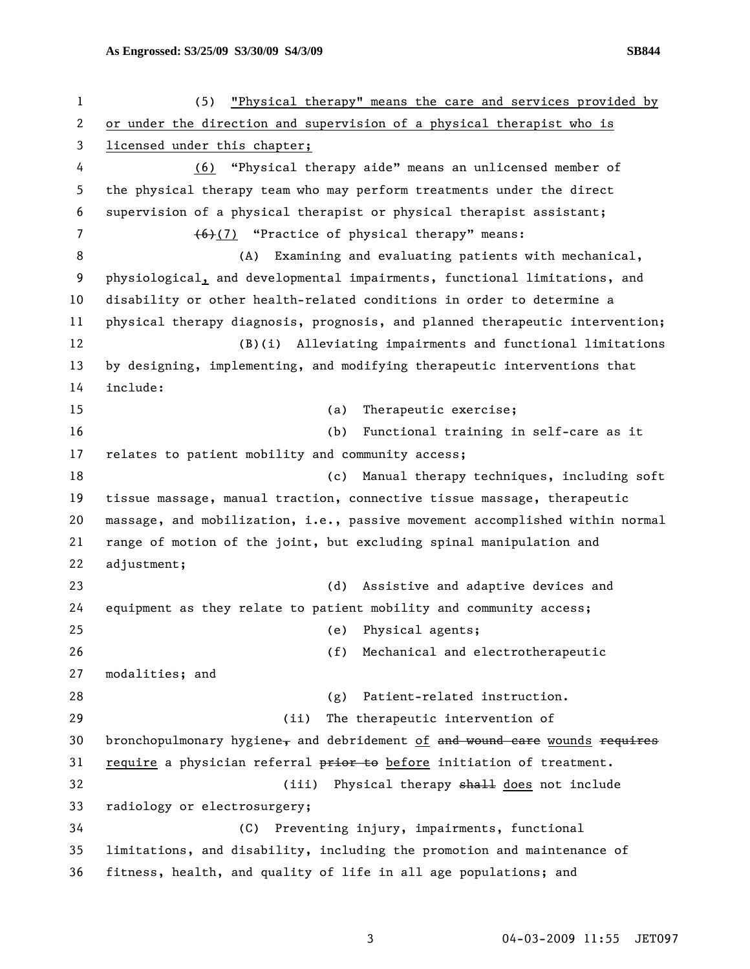1 (5) "Physical therapy" means the care and services provided by 2 or under the direction and supervision of a physical therapist who is 3 licensed under this chapter; 4 (6) "Physical therapy aide" means an unlicensed member of 5 the physical therapy team who may perform treatments under the direct 6 supervision of a physical therapist or physical therapist assistant; 7 (6)(7) "Practice of physical therapy" means: 8 (A) Examining and evaluating patients with mechanical, 9 physiological, and developmental impairments, functional limitations, and 10 disability or other health-related conditions in order to determine a 11 physical therapy diagnosis, prognosis, and planned therapeutic intervention; 12 (B)(i) Alleviating impairments and functional limitations 13 by designing, implementing, and modifying therapeutic interventions that 14 include: 15 (a) Therapeutic exercise; 16 (b) Functional training in self-care as it 17 relates to patient mobility and community access; 18 (c) Manual therapy techniques, including soft 19 tissue massage, manual traction, connective tissue massage, therapeutic 20 massage, and mobilization, i.e., passive movement accomplished within normal 21 range of motion of the joint, but excluding spinal manipulation and 22 adjustment; 23 (d) Assistive and adaptive devices and 24 equipment as they relate to patient mobility and community access; 25 (e) Physical agents; 26 (f) Mechanical and electrotherapeutic 27 modalities; and 28 (g) Patient-related instruction. 29 (ii) The therapeutic intervention of 30 bronchopulmonary hygiene, and debridement of and wound care wounds requires 31 require a physician referral prior to before initiation of treatment. 32 (iii) Physical therapy shall does not include 33 radiology or electrosurgery; 34 (C) Preventing injury, impairments, functional 35 limitations, and disability, including the promotion and maintenance of 36 fitness, health, and quality of life in all age populations; and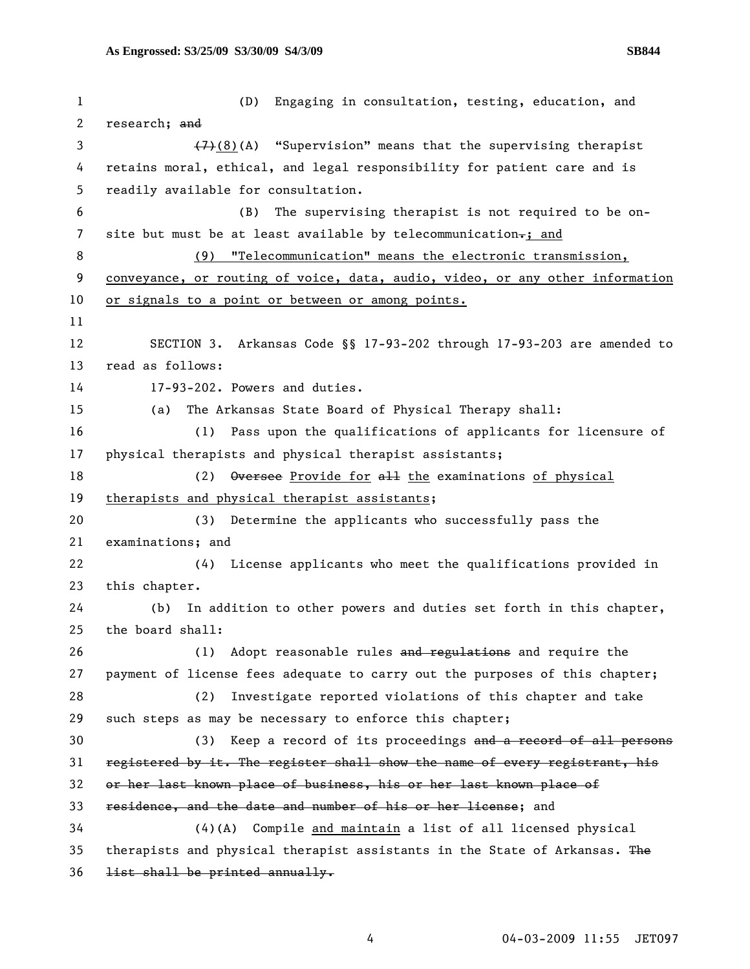| 1  | (D)<br>Engaging in consultation, testing, education, and                      |
|----|-------------------------------------------------------------------------------|
| 2  | research; and                                                                 |
| 3  | $(7)$ (8)(A) "Supervision" means that the supervising therapist               |
| 4  | retains moral, ethical, and legal responsibility for patient care and is      |
| 5  | readily available for consultation.                                           |
| 6  | The supervising therapist is not required to be on-<br>(B)                    |
| 7  | site but must be at least available by telecommunication-; and                |
| 8  | "Telecommunication" means the electronic transmission,<br>(9)                 |
| 9  | conveyance, or routing of voice, data, audio, video, or any other information |
| 10 | or signals to a point or between or among points.                             |
| 11 |                                                                               |
| 12 | SECTION 3. Arkansas Code §§ 17-93-202 through 17-93-203 are amended to        |
| 13 | read as follows:                                                              |
| 14 | 17-93-202. Powers and duties.                                                 |
| 15 | The Arkansas State Board of Physical Therapy shall:<br>(a)                    |
| 16 | (1) Pass upon the qualifications of applicants for licensure of               |
| 17 | physical therapists and physical therapist assistants;                        |
| 18 | Oversee Provide for all the examinations of physical<br>(2)                   |
| 19 | therapists and physical therapist assistants;                                 |
| 20 | Determine the applicants who successfully pass the<br>(3)                     |
| 21 | examinations; and                                                             |
| 22 | License applicants who meet the qualifications provided in<br>(4)             |
| 23 | this chapter.                                                                 |
| 24 | In addition to other powers and duties set forth in this chapter,<br>(b)      |
| 25 | the board shall:                                                              |
| 26 | Adopt reasonable rules and regulations and require the<br>(1)                 |
| 27 | payment of license fees adequate to carry out the purposes of this chapter;   |
| 28 | Investigate reported violations of this chapter and take<br>(2)               |
| 29 | such steps as may be necessary to enforce this chapter;                       |
| 30 | Keep a record of its proceedings and a record of all persons<br>(3)           |
| 31 | registered by it. The register shall show the name of every registrant, his   |
| 32 | or her last known place of business, his or her last known place of           |
| 33 | residence, and the date and number of his or her license; and                 |
| 34 | $(4)(A)$ Compile and maintain a list of all licensed physical                 |
| 35 | therapists and physical therapist assistants in the State of Arkansas. The    |
| 36 | list shall be printed annually.                                               |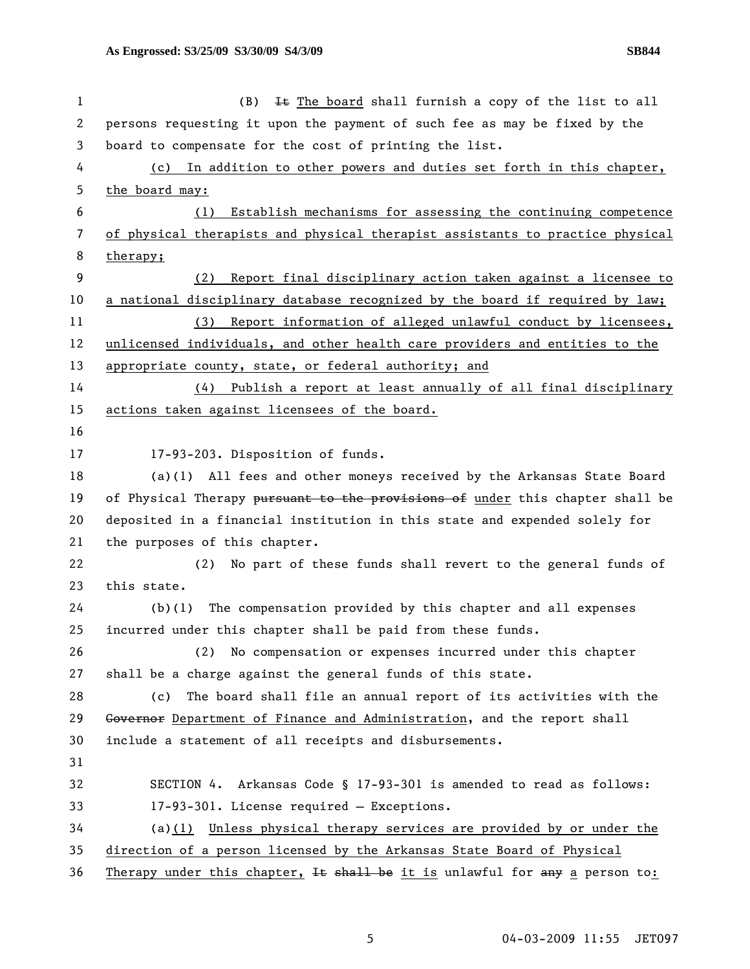| $\mathbf 1$ | It The board shall furnish a copy of the list to all<br>(B)                   |
|-------------|-------------------------------------------------------------------------------|
| 2           | persons requesting it upon the payment of such fee as may be fixed by the     |
| 3           | board to compensate for the cost of printing the list.                        |
| 4           | (c) In addition to other powers and duties set forth in this chapter,         |
| 5           | the board may:                                                                |
| 6           | Establish mechanisms for assessing the continuing competence<br>(1)           |
| 7           | of physical therapists and physical therapist assistants to practice physical |
| 8           | therapy;                                                                      |
| 9           | Report final disciplinary action taken against a licensee to<br>(2)           |
| 10          | a national disciplinary database recognized by the board if required by law;  |
| 11          | (3) Report information of alleged unlawful conduct by licensees,              |
| 12          | unlicensed individuals, and other health care providers and entities to the   |
| 13          | appropriate county, state, or federal authority; and                          |
| 14          | (4) Publish a report at least annually of all final disciplinary              |
| 15          | actions taken against licensees of the board.                                 |
| 16          |                                                                               |
| 17          | 17-93-203. Disposition of funds.                                              |
| 18          | (a)(1) All fees and other moneys received by the Arkansas State Board         |
| 19          | of Physical Therapy pursuant to the provisions of under this chapter shall be |
| 20          | deposited in a financial institution in this state and expended solely for    |
| 21          | the purposes of this chapter.                                                 |
| 22          | No part of these funds shall revert to the general funds of<br>(2)            |
| 23          | this state.                                                                   |
| 24          | The compensation provided by this chapter and all expenses<br>(b)(1)          |
| 25          | incurred under this chapter shall be paid from these funds.                   |
| 26          | No compensation or expenses incurred under this chapter<br>(2)                |
| 27          | shall be a charge against the general funds of this state.                    |
| 28          | The board shall file an annual report of its activities with the<br>(c)       |
| 29          | Governor Department of Finance and Administration, and the report shall       |
| 30          | include a statement of all receipts and disbursements.                        |
| 31          |                                                                               |
| 32          | SECTION 4. Arkansas Code § 17-93-301 is amended to read as follows:           |
| 33          | 17-93-301. License required - Exceptions.                                     |
| 34          | (a) $(1)$ Unless physical therapy services are provided by or under the       |
| 35          | direction of a person licensed by the Arkansas State Board of Physical        |
| 36          | Therapy under this chapter, It shall be it is unlawful for any a person to:   |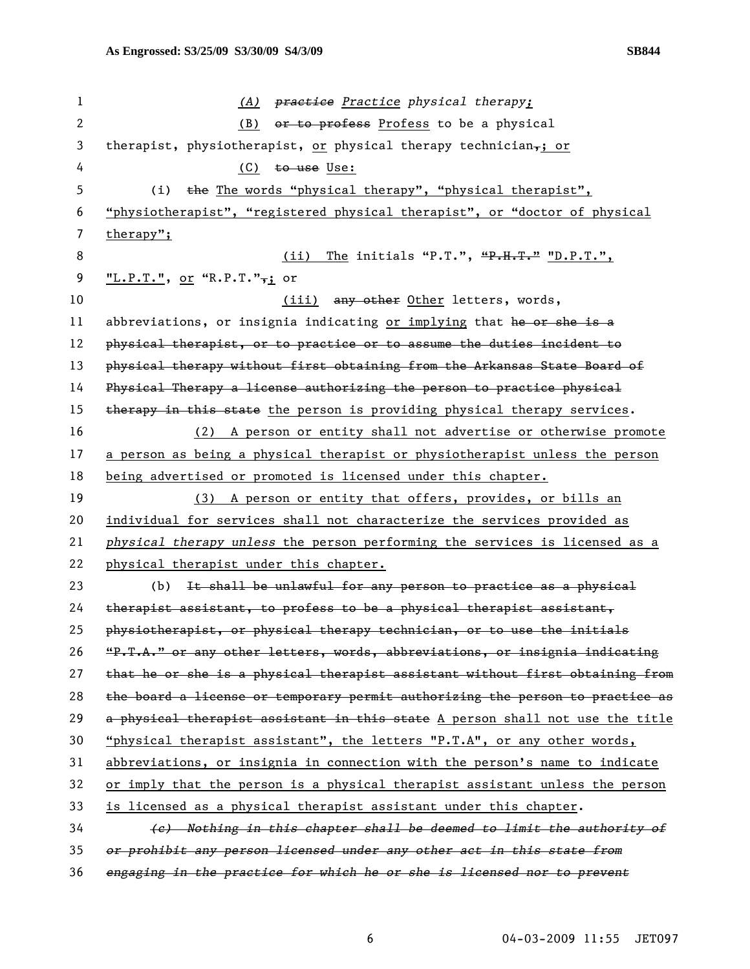1 *(A) practice Practice physical therapy;*  2 (B) or to profess Profess to be a physical 3 therapist, physiotherapist, or physical therapy technician,; or 4 (C) to use Use: 5 (i) the The words "physical therapy", "physical therapist", 6 "physiotherapist", "registered physical therapist", or "doctor of physical 7 therapy"; 8 (ii) The initials "P.T.", "P.H.T." "D.P.T.", 9 **"L.P.T."**, or "R.P.T.",; or 10 (iii) any other letters, words, 11 abbreviations, or insignia indicating or implying that he or she is a 12 physical therapist, or to practice or to assume the duties incident to 13 physical therapy without first obtaining from the Arkansas State Board of 14 Physical Therapy a license authorizing the person to practice physical 15 therapy in this state the person is providing physical therapy services. 16 (2) A person or entity shall not advertise or otherwise promote 17 a person as being a physical therapist or physiotherapist unless the person 18 being advertised or promoted is licensed under this chapter. 19 (3) A person or entity that offers, provides, or bills an 20 individual for services shall not characterize the services provided as 21 *physical therapy unless* the person performing the services is licensed as a 22 physical therapist under this chapter. 23 (b) It shall be unlawful for any person to practice as a physical  $24$  therapist assistant, to profess to be a physical therapist assistant, 25 physiotherapist, or physical therapy technician, or to use the initials 26 "P.T.A." or any other letters, words, abbreviations, or insignia indicating 27 that he or she is a physical therapist assistant without first obtaining from 28 the board a license or temporary permit authorizing the person to practice as 29 a physical therapist assistant in this state A person shall not use the title 30 "physical therapist assistant", the letters "P.T.A", or any other words, 31 abbreviations, or insignia in connection with the person's name to indicate 32 or imply that the person is a physical therapist assistant unless the person 33 is licensed as a physical therapist assistant under this chapter. 34 *(c) Nothing in this chapter shall be deemed to limit the authority of*  35 *or prohibit any person licensed under any other act in this state from*  36 *engaging in the practice for which he or she is licensed nor to prevent*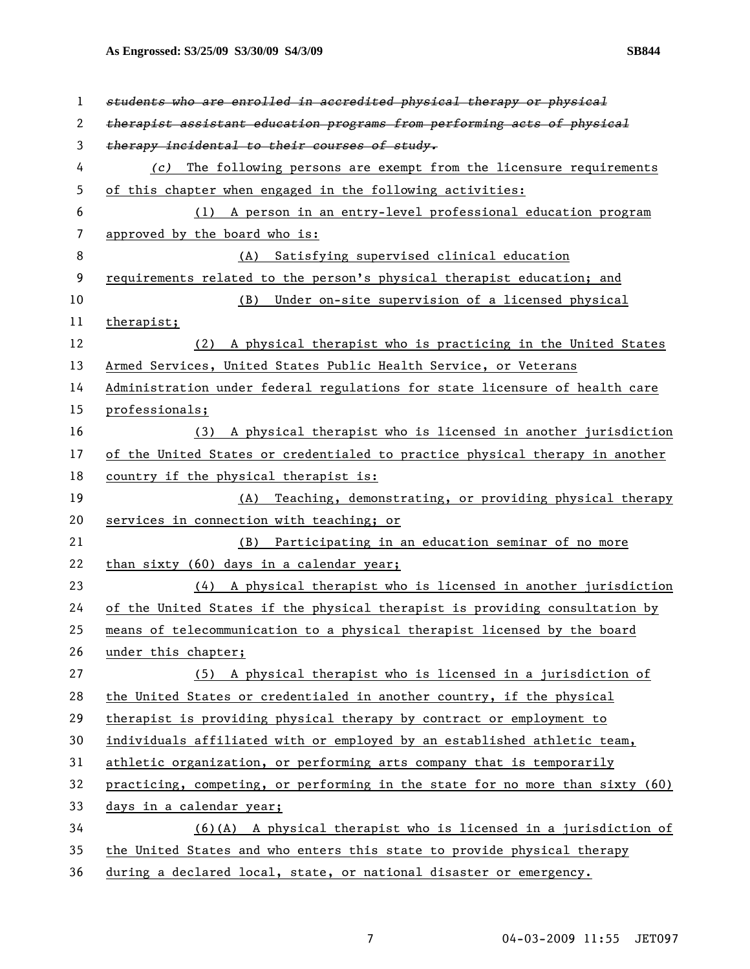**As Engrossed: S3/25/09 S3/30/09 S4/3/09 SB844** 

| 1  | students who are enrolled in accredited physical therapy or physical          |
|----|-------------------------------------------------------------------------------|
| 2  | therapist assistant education programs from performing acts of physical       |
| 3  | therapy incidental to their courses of study.                                 |
| 4  | The following persons are exempt from the licensure requirements<br>(c)       |
| 5  | of this chapter when engaged in the following activities:                     |
| 6  | (1) A person in an entry-level professional education program                 |
| 7  | approved by the board who is:                                                 |
| 8  | Satisfying supervised clinical education<br>(A)                               |
| 9  | requirements related to the person's physical therapist education; and        |
| 10 | Under on-site supervision of a licensed physical<br>(B)                       |
| 11 | therapist;                                                                    |
| 12 | A physical therapist who is practicing in the United States<br>(2)            |
| 13 | Armed Services, United States Public Health Service, or Veterans              |
| 14 | Administration under federal regulations for state licensure of health care   |
| 15 | professionals;                                                                |
| 16 | A physical therapist who is licensed in another jurisdiction<br>(3)           |
| 17 | of the United States or credentialed to practice physical therapy in another  |
| 18 | country if the physical therapist is:                                         |
| 19 | (A) Teaching, demonstrating, or providing physical therapy                    |
| 20 | services in connection with teaching; or                                      |
| 21 | Participating in an education seminar of no more<br>(B)                       |
| 22 | than sixty (60) days in a calendar year;                                      |
| 23 | (4) A physical therapist who is licensed in another jurisdiction              |
| 24 | of the United States if the physical therapist is providing consultation by   |
| 25 | means of telecommunication to a physical therapist licensed by the board      |
| 26 | under this chapter;                                                           |
| 27 | (5) A physical therapist who is licensed in a jurisdiction of                 |
| 28 | the United States or credentialed in another country, if the physical         |
| 29 | therapist is providing physical therapy by contract or employment to          |
| 30 | individuals affiliated with or employed by an established athletic team,      |
| 31 | athletic organization, or performing arts company that is temporarily         |
| 32 | practicing, competing, or performing in the state for no more than sixty (60) |
| 33 | days in a calendar year;                                                      |
| 34 | $(6)(A)$ A physical therapist who is licensed in a jurisdiction of            |
| 35 | the United States and who enters this state to provide physical therapy       |
| 36 | during a declared local, state, or national disaster or emergency.            |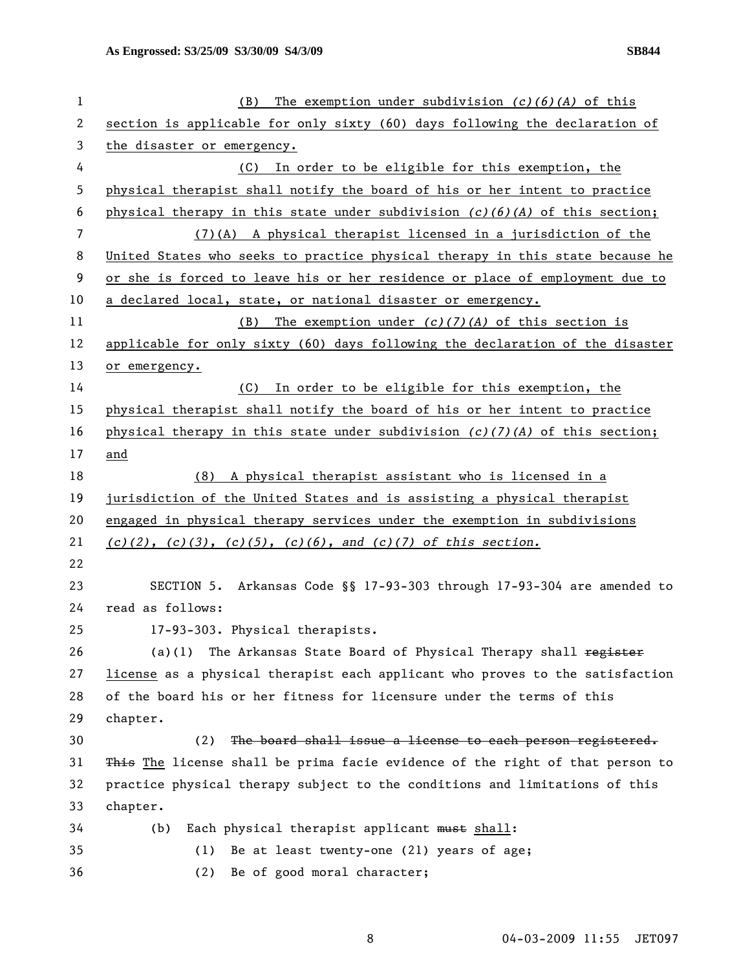**As Engrossed: S3/25/09 S3/30/09 S4/3/09 SB844** 

| 1              | The exemption under subdivision $(c)(6)(A)$ of this<br>(B)                     |
|----------------|--------------------------------------------------------------------------------|
| 2              | section is applicable for only sixty (60) days following the declaration of    |
| 3              | the disaster or emergency.                                                     |
| 4              | (C) In order to be eligible for this exemption, the                            |
| 5              | physical therapist shall notify the board of his or her intent to practice     |
| 6              | physical therapy in this state under subdivision $(c)(6)(A)$ of this section;  |
| $\overline{7}$ | (7)(A) A physical therapist licensed in a jurisdiction of the                  |
| 8              | United States who seeks to practice physical therapy in this state because he  |
| 9              | or she is forced to leave his or her residence or place of employment due to   |
| 10             | a declared local, state, or national disaster or emergency.                    |
| 11             | The exemption under $(c)(7)(A)$ of this section is<br>(B)                      |
| 12             | applicable for only sixty (60) days following the declaration of the disaster  |
| 13             | or emergency.                                                                  |
| 14             | (C) In order to be eligible for this exemption, the                            |
| 15             | physical therapist shall notify the board of his or her intent to practice     |
| 16             | physical therapy in this state under subdivision $(c)/(7)(A)$ of this section; |
| 17             | and                                                                            |
| 18             | (8) A physical therapist assistant who is licensed in a                        |
| 19             | jurisdiction of the United States and is assisting a physical therapist        |
| 20             | engaged in physical therapy services under the exemption in subdivisions       |
| 21             | $(c)(2)$ , $(c)(3)$ , $(c)(5)$ , $(c)(6)$ , and $(c)(7)$ of this section.      |
| 22             |                                                                                |
| 23             | SECTION 5. Arkansas Code §§ 17-93-303 through 17-93-304 are amended to         |
| 24             | read as follows:                                                               |
| 25             | 17-93-303. Physical therapists.                                                |
| 26             | The Arkansas State Board of Physical Therapy shall register<br>(a)(1)          |
| 27             | license as a physical therapist each applicant who proves to the satisfaction  |
| 28             | of the board his or her fitness for licensure under the terms of this          |
| 29             | chapter.                                                                       |
| 30             | The board shall issue a license to each person registered.<br>(2)              |
| 31             | This The license shall be prima facie evidence of the right of that person to  |
| 32             | practice physical therapy subject to the conditions and limitations of this    |
| 33             | chapter.                                                                       |
| 34             | Each physical therapist applicant must shall:<br>(b)                           |
| 35             | Be at least twenty-one (21) years of age;<br>(1)                               |
| 36             | Be of good moral character;<br>(2)                                             |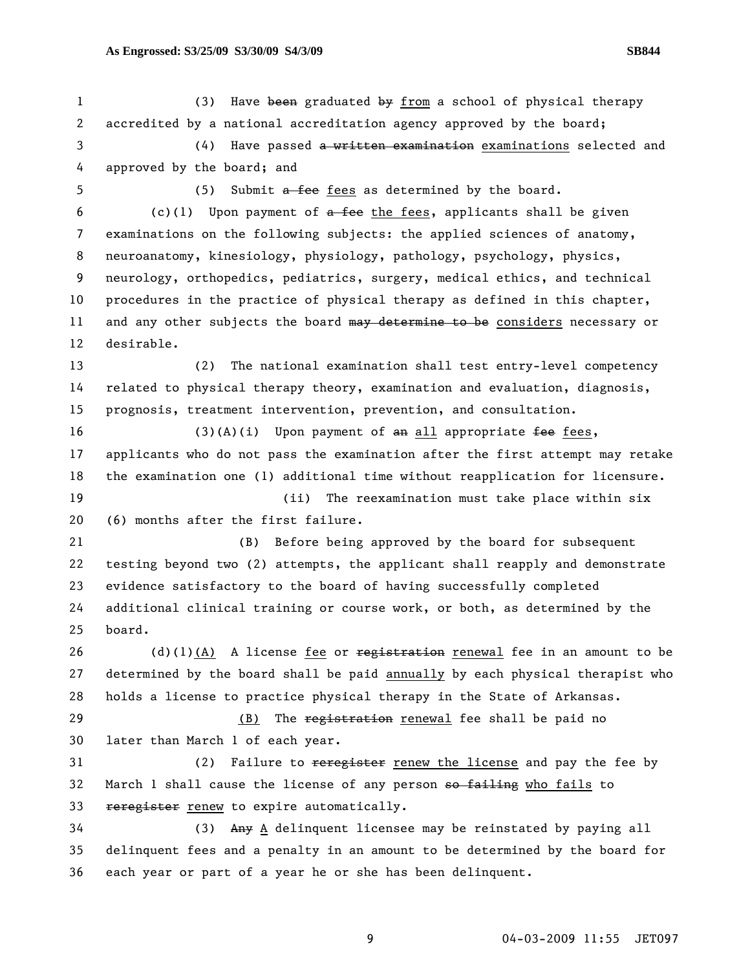1 (3) Have been graduated by from a school of physical therapy 2 accredited by a national accreditation agency approved by the board; 3 (4) Have passed a written examination examinations selected and 4 approved by the board; and 5 (5) Submit a fee fees as determined by the board. 6 (c)(1) Upon payment of  $a$  fee the fees, applicants shall be given 7 examinations on the following subjects: the applied sciences of anatomy, 8 neuroanatomy, kinesiology, physiology, pathology, psychology, physics, 9 neurology, orthopedics, pediatrics, surgery, medical ethics, and technical 10 procedures in the practice of physical therapy as defined in this chapter, 11 and any other subjects the board may determine to be considers necessary or 12 desirable. 13 (2) The national examination shall test entry-level competency 14 related to physical therapy theory, examination and evaluation, diagnosis, 15 prognosis, treatment intervention, prevention, and consultation. 16 (3)(A)(i) Upon payment of  $an$  all appropriate fee fees, 17 applicants who do not pass the examination after the first attempt may retake 18 the examination one (1) additional time without reapplication for licensure. 19 (ii) The reexamination must take place within six 20 (6) months after the first failure. 21 (B) Before being approved by the board for subsequent 22 testing beyond two (2) attempts, the applicant shall reapply and demonstrate 23 evidence satisfactory to the board of having successfully completed 24 additional clinical training or course work, or both, as determined by the 25 board. 26 (d)(1)(A) A license fee or  $\frac{1}{2}$  registration renewal fee in an amount to be 27 determined by the board shall be paid annually by each physical therapist who 28 holds a license to practice physical therapy in the State of Arkansas. 29 (B) The registration renewal fee shall be paid no 30 later than March 1 of each year. 31 (2) Failure to <del>reregister</del> renew the license and pay the fee by 32 March 1 shall cause the license of any person so failing who fails to 33 reregister renew to expire automatically. 34 (3) Any A delinquent licensee may be reinstated by paying all 35 delinquent fees and a penalty in an amount to be determined by the board for 36 each year or part of a year he or she has been delinquent.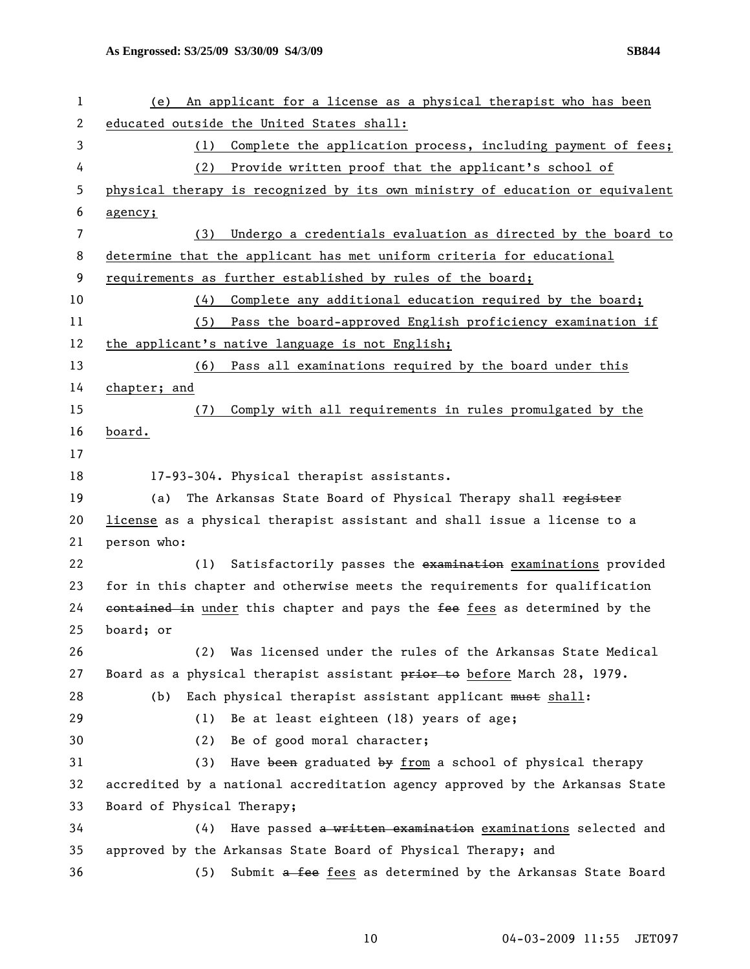| 1              | An applicant for a license as a physical therapist who has been<br>(e)        |
|----------------|-------------------------------------------------------------------------------|
| 2              | educated outside the United States shall:                                     |
| 3              | Complete the application process, including payment of fees;<br>(1)           |
| 4              | Provide written proof that the applicant's school of<br>(2)                   |
| 5              | physical therapy is recognized by its own ministry of education or equivalent |
| 6              | agency;                                                                       |
| $\overline{7}$ | Undergo a credentials evaluation as directed by the board to<br>(3)           |
| 8              | determine that the applicant has met uniform criteria for educational         |
| 9              | requirements as further established by rules of the board;                    |
| 10             | Complete any additional education required by the board;<br>(4)               |
| 11             | (5) Pass the board-approved English proficiency examination if                |
| 12             | the applicant's native language is not English;                               |
| 13             | Pass all examinations required by the board under this<br>(6)                 |
| 14             | chapter; and                                                                  |
| 15             | Comply with all requirements in rules promulgated by the<br>(7)               |
| 16             | board.                                                                        |
| 17             |                                                                               |
| 18             | 17-93-304. Physical therapist assistants.                                     |
| 19             | The Arkansas State Board of Physical Therapy shall register<br>(a)            |
| 20             | license as a physical therapist assistant and shall issue a license to a      |
| 21             | person who:                                                                   |
| 22             | Satisfactorily passes the examination examinations provided<br>(1)            |
| 23             | for in this chapter and otherwise meets the requirements for qualification    |
| 24             | eontained in under this chapter and pays the fee fees as determined by the    |
| 25             | board; or                                                                     |
| 26             | Was licensed under the rules of the Arkansas State Medical<br>(2)             |
| 27             | Board as a physical therapist assistant prior to before March 28, 1979.       |
| 28             | Each physical therapist assistant applicant must shall:<br>(b)                |
| 29             | Be at least eighteen (18) years of age;<br>(1)                                |
| 30             | Be of good moral character;<br>(2)                                            |
| 31             | Have been graduated by from a school of physical therapy<br>(3)               |
| 32             | accredited by a national accreditation agency approved by the Arkansas State  |
| 33             | Board of Physical Therapy;                                                    |
| 34             | Have passed a written examination examinations selected and<br>(4)            |
| 35             | approved by the Arkansas State Board of Physical Therapy; and                 |
| 36             | Submit a fee fees as determined by the Arkansas State Board<br>(5)            |
|                |                                                                               |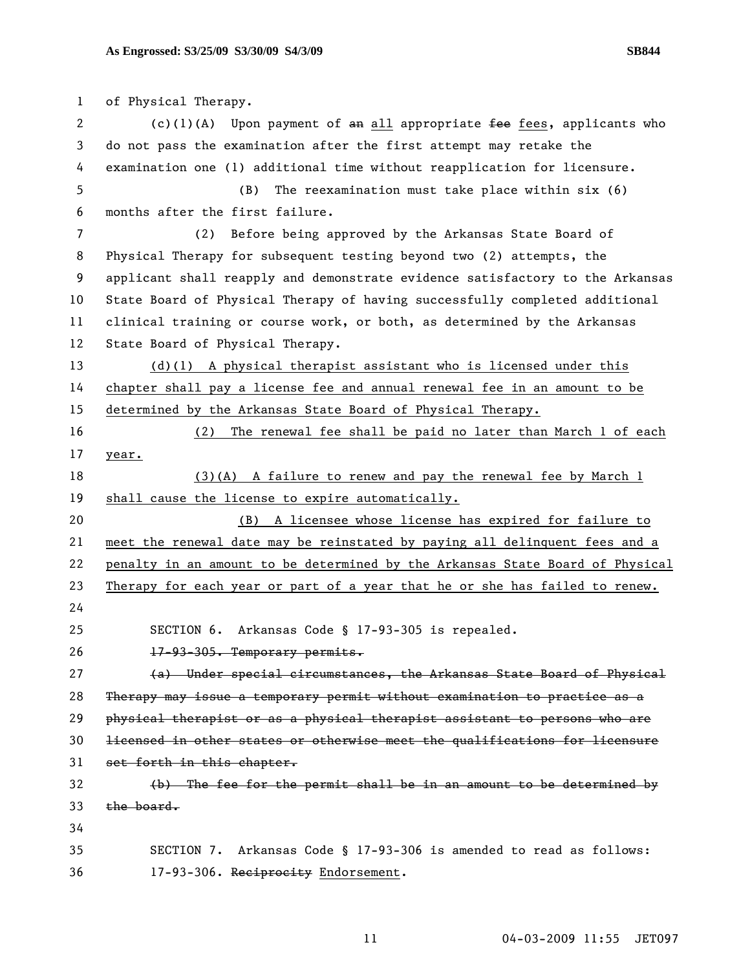1 of Physical Therapy. 2 (c)(1)(A) Upon payment of an all appropriate fee fees, applicants who 3 do not pass the examination after the first attempt may retake the 4 examination one (1) additional time without reapplication for licensure. 5 (B) The reexamination must take place within six (6) 6 months after the first failure. 7 (2) Before being approved by the Arkansas State Board of 8 Physical Therapy for subsequent testing beyond two (2) attempts, the 9 applicant shall reapply and demonstrate evidence satisfactory to the Arkansas 10 State Board of Physical Therapy of having successfully completed additional 11 clinical training or course work, or both, as determined by the Arkansas 12 State Board of Physical Therapy. 13 (d)(1) A physical therapist assistant who is licensed under this 14 chapter shall pay a license fee and annual renewal fee in an amount to be 15 determined by the Arkansas State Board of Physical Therapy. 16 (2) The renewal fee shall be paid no later than March 1 of each 17 year. 18 (3)(A) A failure to renew and pay the renewal fee by March 1 19 shall cause the license to expire automatically. 20 (B) A licensee whose license has expired for failure to 21 meet the renewal date may be reinstated by paying all delinquent fees and a 22 penalty in an amount to be determined by the Arkansas State Board of Physical 23 Therapy for each year or part of a year that he or she has failed to renew. 24 25 SECTION 6. Arkansas Code § 17-93-305 is repealed. 26 17-93-305. Temporary permits. 27 (a) Under special circumstances, the Arkansas State Board of Physical 28 Therapy may issue a temporary permit without examination to practice as a 29 physical therapist or as a physical therapist assistant to persons who are 30 licensed in other states or otherwise meet the qualifications for licensure 31 set forth in this chapter. 32 (b) The fee for the permit shall be in an amount to be determined by 33 the board. 34 35 SECTION 7. Arkansas Code § 17-93-306 is amended to read as follows: 36 17-93-306. Reciprocity Endorsement.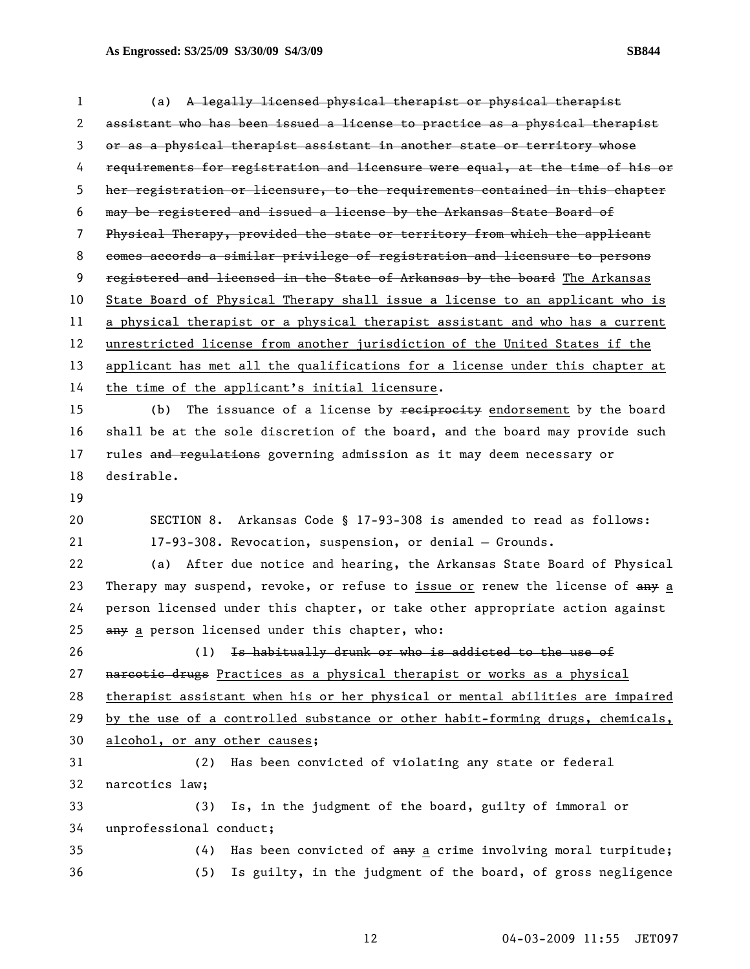| 1  | A legally licensed physical therapist or physical therapist<br>(a)            |
|----|-------------------------------------------------------------------------------|
| 2  | assistant who has been issued a license to practice as a physical therapist   |
| 3  | or as a physical therapist assistant in another state or territory whose      |
| 4  | requirements for registration and licensure were equal, at the time of his or |
| 5  | her registration or licensure, to the requirements contained in this chapter  |
| 6  | may be registered and issued a license by the Arkansas State Board of         |
| 7  | Physical Therapy, provided the state or territory from which the applicant    |
| 8  | comes accords a similar privilege of registration and licensure to persons    |
| 9  | registered and licensed in the State of Arkansas by the board The Arkansas    |
| 10 | State Board of Physical Therapy shall issue a license to an applicant who is  |
| 11 | a physical therapist or a physical therapist assistant and who has a current  |
| 12 | unrestricted license from another jurisdiction of the United States if the    |
| 13 | applicant has met all the qualifications for a license under this chapter at  |
| 14 | the time of the applicant's initial licensure.                                |
| 15 | The issuance of a license by reciprocity endorsement by the board<br>(b)      |
| 16 | shall be at the sole discretion of the board, and the board may provide such  |
| 17 | rules and regulations governing admission as it may deem necessary or         |
| 18 | desirable.                                                                    |
| 19 |                                                                               |
| 20 | SECTION 8. Arkansas Code § 17-93-308 is amended to read as follows:           |
| 21 | 17-93-308. Revocation, suspension, or denial - Grounds.                       |
| 22 | After due notice and hearing, the Arkansas State Board of Physical<br>(a)     |
| 23 | Therapy may suspend, revoke, or refuse to issue or renew the license of any a |
| 24 | person licensed under this chapter, or take other appropriate action against  |
| 25 | any a person licensed under this chapter, who:                                |
| 26 | (1) Is habitually drunk or who is addicted to the use of                      |
| 27 | nareotic drugs Practices as a physical therapist or works as a physical       |
| 28 | therapist assistant when his or her physical or mental abilities are impaired |
| 29 | by the use of a controlled substance or other habit-forming drugs, chemicals, |
| 30 | alcohol, or any other causes;                                                 |
| 31 | Has been convicted of violating any state or federal<br>(2)                   |
| 32 | narcotics law;                                                                |
| 33 | Is, in the judgment of the board, guilty of immoral or<br>(3)                 |
| 34 | unprofessional conduct;                                                       |
| 35 | Has been convicted of any a crime involving moral turpitude;<br>(4)           |
| 36 | Is guilty, in the judgment of the board, of gross negligence<br>(5)           |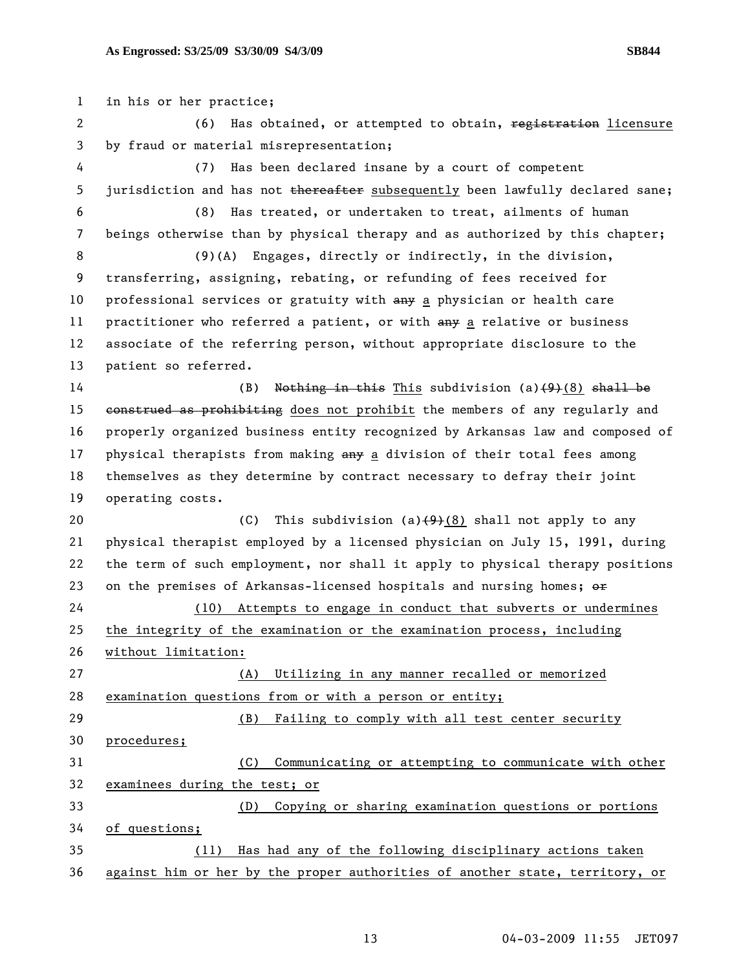1 in his or her practice; 2 (6) Has obtained, or attempted to obtain, registration licensure 3 by fraud or material misrepresentation; 4 (7) Has been declared insane by a court of competent 5 jurisdiction and has not thereafter subsequently been lawfully declared sane; 6 (8) Has treated, or undertaken to treat, ailments of human 7 beings otherwise than by physical therapy and as authorized by this chapter; 8 (9)(A) Engages, directly or indirectly, in the division, 9 transferring, assigning, rebating, or refunding of fees received for 10 professional services or gratuity with  $\frac{am}{r}$  a physician or health care 11 practitioner who referred a patient, or with any a relative or business 12 associate of the referring person, without appropriate disclosure to the 13 patient so referred. 14 (B) Nothing in this This subdivision (a) $(9)(8)$  shall be 15 construed as prohibiting does not prohibit the members of any regularly and 16 properly organized business entity recognized by Arkansas law and composed of 17 physical therapists from making any a division of their total fees among 18 themselves as they determine by contract necessary to defray their joint 19 operating costs. 20 (C) This subdivision (a) $(9)(8)$  shall not apply to any 21 physical therapist employed by a licensed physician on July 15, 1991, during 22 the term of such employment, nor shall it apply to physical therapy positions 23 on the premises of Arkansas-licensed hospitals and nursing homes;  $\Theta$ ff 24 (10) Attempts to engage in conduct that subverts or undermines 25 the integrity of the examination or the examination process, including 26 without limitation: 27 (A) Utilizing in any manner recalled or memorized 28 examination questions from or with a person or entity; 29 (B) Failing to comply with all test center security 30 procedures; 31 (C) Communicating or attempting to communicate with other 32 examinees during the test; or 33 (D) Copying or sharing examination questions or portions 34 of questions; 35 (11) Has had any of the following disciplinary actions taken 36 against him or her by the proper authorities of another state, territory, or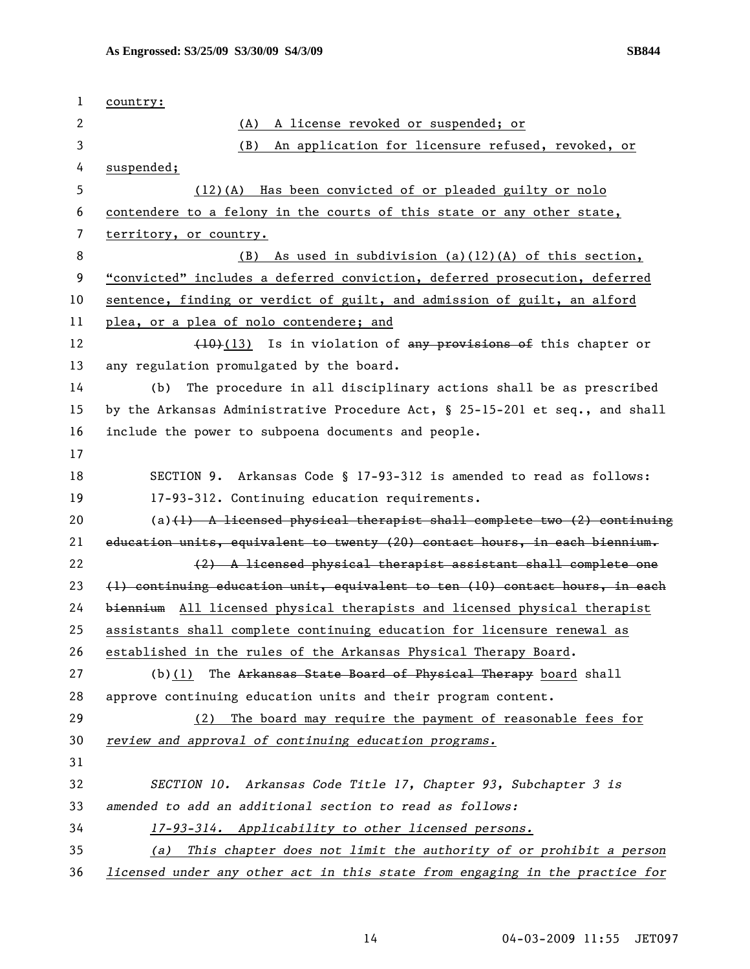| 1  | country:                                                                     |
|----|------------------------------------------------------------------------------|
| 2  | A license revoked or suspended; or<br>(A)                                    |
| 3  | An application for licensure refused, revoked, or<br>(B)                     |
| 4  | suspended;                                                                   |
| 5  | (12)(A) Has been convicted of or pleaded guilty or nolo                      |
| 6  | contendere to a felony in the courts of this state or any other state,       |
| 7  | territory, or country.                                                       |
| 8  | As used in subdivision $(a)(12)(A)$ of this section,<br>(B)                  |
| 9  | "convicted" includes a deferred conviction, deferred prosecution, deferred   |
| 10 | sentence, finding or verdict of guilt, and admission of guilt, an alford     |
| 11 | plea, or a plea of nolo contendere; and                                      |
| 12 | (10)(13) Is in violation of any provisions of this chapter or                |
| 13 | any regulation promulgated by the board.                                     |
| 14 | The procedure in all disciplinary actions shall be as prescribed<br>(b)      |
| 15 | by the Arkansas Administrative Procedure Act, § 25-15-201 et seq., and shall |
| 16 | include the power to subpoena documents and people.                          |
| 17 |                                                                              |
| 18 | SECTION 9. Arkansas Code § 17-93-312 is amended to read as follows:          |
| 19 | 17-93-312. Continuing education requirements.                                |
| 20 | (a) $(1)$ A licensed physical therapist shall complete two $(2)$ continuing  |
| 21 | education units, equivalent to twenty (20) contact hours, in each biennium.  |
| 22 | (2) A licensed physical therapist assistant shall complete one               |
| 23 | (1) continuing education unit, equivalent to ten (10) contact hours, in each |
| 24 | biennium All licensed physical therapists and licensed physical therapist    |
| 25 | assistants shall complete continuing education for licensure renewal as      |
| 26 | established in the rules of the Arkansas Physical Therapy Board.             |
| 27 | $(b)(1)$ The Arkansas State Board of Physical Therapy board shall            |
| 28 | approve continuing education units and their program content.                |
| 29 | The board may require the payment of reasonable fees for<br>(2)              |
| 30 | review and approval of continuing education programs.                        |
| 31 |                                                                              |
| 32 | SECTION 10. Arkansas Code Title 17, Chapter 93, Subchapter 3 is              |
| 33 | amended to add an additional section to read as follows:                     |
| 34 | 17-93-314. Applicability to other licensed persons.                          |
| 35 | This chapter does not limit the authority of or prohibit a person<br>(a)     |
| 36 | licensed under any other act in this state from engaging in the practice for |